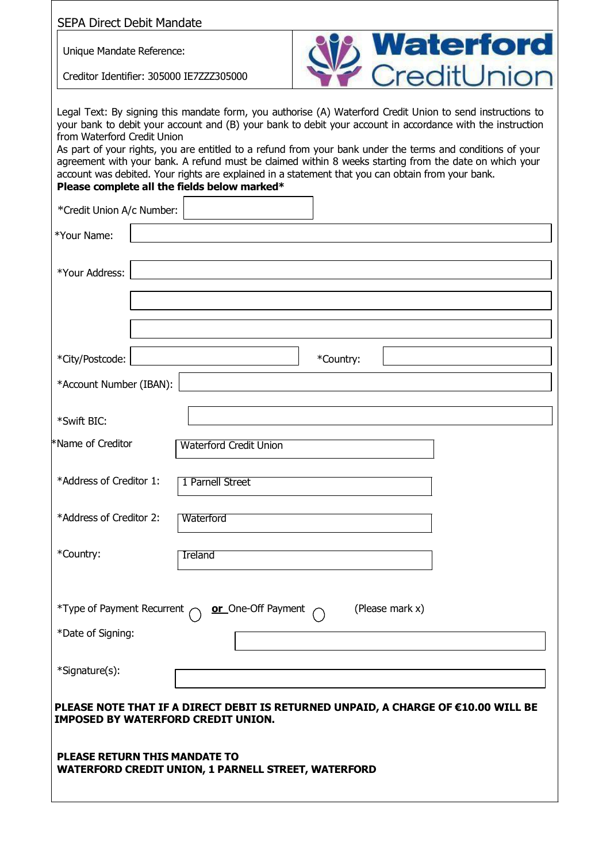| <b>SEPA Direct Debit Mandate</b>          |                                                                                                                                                                                                                                                                                                                                                                                                                                                                                                                                                                                                       |
|-------------------------------------------|-------------------------------------------------------------------------------------------------------------------------------------------------------------------------------------------------------------------------------------------------------------------------------------------------------------------------------------------------------------------------------------------------------------------------------------------------------------------------------------------------------------------------------------------------------------------------------------------------------|
| Unique Mandate Reference:                 | <b>Waterford</b><br>CreditUnion                                                                                                                                                                                                                                                                                                                                                                                                                                                                                                                                                                       |
| Creditor Identifier: 305000 IE7ZZZ305000  |                                                                                                                                                                                                                                                                                                                                                                                                                                                                                                                                                                                                       |
| from Waterford Credit Union               | Legal Text: By signing this mandate form, you authorise (A) Waterford Credit Union to send instructions to<br>your bank to debit your account and (B) your bank to debit your account in accordance with the instruction<br>As part of your rights, you are entitled to a refund from your bank under the terms and conditions of your<br>agreement with your bank. A refund must be claimed within 8 weeks starting from the date on which your<br>account was debited. Your rights are explained in a statement that you can obtain from your bank.<br>Please complete all the fields below marked* |
| *Credit Union A/c Number:                 |                                                                                                                                                                                                                                                                                                                                                                                                                                                                                                                                                                                                       |
| *Your Name:                               |                                                                                                                                                                                                                                                                                                                                                                                                                                                                                                                                                                                                       |
| *Your Address:                            |                                                                                                                                                                                                                                                                                                                                                                                                                                                                                                                                                                                                       |
|                                           |                                                                                                                                                                                                                                                                                                                                                                                                                                                                                                                                                                                                       |
|                                           |                                                                                                                                                                                                                                                                                                                                                                                                                                                                                                                                                                                                       |
| *City/Postcode:                           | *Country:                                                                                                                                                                                                                                                                                                                                                                                                                                                                                                                                                                                             |
| *Account Number (IBAN):                   |                                                                                                                                                                                                                                                                                                                                                                                                                                                                                                                                                                                                       |
| *Swift BIC:                               |                                                                                                                                                                                                                                                                                                                                                                                                                                                                                                                                                                                                       |
| *Name of Creditor                         | <b>Waterford Credit Union</b>                                                                                                                                                                                                                                                                                                                                                                                                                                                                                                                                                                         |
| *Address of Creditor 1:                   | 1 Parnell Street                                                                                                                                                                                                                                                                                                                                                                                                                                                                                                                                                                                      |
| *Address of Creditor 2:                   | Waterford                                                                                                                                                                                                                                                                                                                                                                                                                                                                                                                                                                                             |
| *Country:                                 | <b>Ireland</b>                                                                                                                                                                                                                                                                                                                                                                                                                                                                                                                                                                                        |
|                                           | (Please mark x)<br>*Type of Payment Recurrent $\bigcap$ or One-Off Payment                                                                                                                                                                                                                                                                                                                                                                                                                                                                                                                            |
| *Date of Signing:                         |                                                                                                                                                                                                                                                                                                                                                                                                                                                                                                                                                                                                       |
| *Signature(s):                            |                                                                                                                                                                                                                                                                                                                                                                                                                                                                                                                                                                                                       |
| <b>IMPOSED BY WATERFORD CREDIT UNION.</b> | PLEASE NOTE THAT IF A DIRECT DEBIT IS RETURNED UNPAID, A CHARGE OF €10.00 WILL BE                                                                                                                                                                                                                                                                                                                                                                                                                                                                                                                     |
| <b>PLEASE RETURN THIS MANDATE TO</b>      | <b>WATERFORD CREDIT UNION, 1 PARNELL STREET, WATERFORD</b>                                                                                                                                                                                                                                                                                                                                                                                                                                                                                                                                            |
|                                           |                                                                                                                                                                                                                                                                                                                                                                                                                                                                                                                                                                                                       |